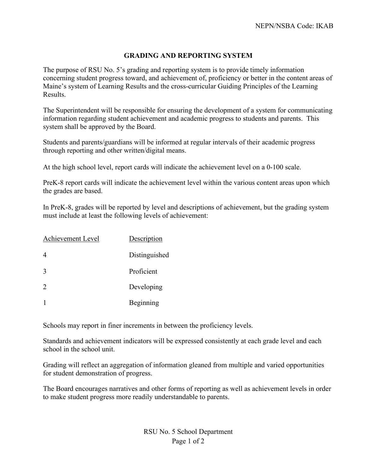## **GRADING AND REPORTING SYSTEM**

The purpose of RSU No. 5's grading and reporting system is to provide timely information concerning student progress toward, and achievement of, proficiency or better in the content areas of Maine's system of Learning Results and the cross-curricular Guiding Principles of the Learning Results.

The Superintendent will be responsible for ensuring the development of a system for communicating information regarding student achievement and academic progress to students and parents. This system shall be approved by the Board.

Students and parents/guardians will be informed at regular intervals of their academic progress through reporting and other written/digital means.

At the high school level, report cards will indicate the achievement level on a 0-100 scale.

PreK-8 report cards will indicate the achievement level within the various content areas upon which the grades are based.

In PreK-8, grades will be reported by level and descriptions of achievement, but the grading system must include at least the following levels of achievement:

| Achievement Level | Description   |
|-------------------|---------------|
| 4                 | Distinguished |
| 3                 | Proficient    |
| 2                 | Developing    |
|                   | Beginning     |

Schools may report in finer increments in between the proficiency levels.

Standards and achievement indicators will be expressed consistently at each grade level and each school in the school unit.

Grading will reflect an aggregation of information gleaned from multiple and varied opportunities for student demonstration of progress.

The Board encourages narratives and other forms of reporting as well as achievement levels in order to make student progress more readily understandable to parents.